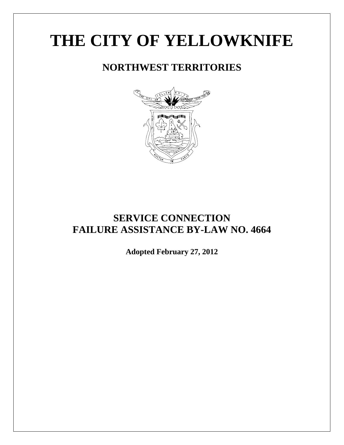# **THE CITY OF YELLOWKNIFE**

# **NORTHWEST TERRITORIES**



# **SERVICE CONNECTION FAILURE ASSISTANCE BY-LAW NO. 4664**

**Adopted February 27, 2012**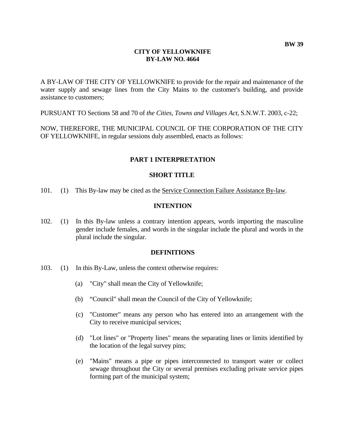#### **CITY OF YELLOWKNIFE BY-LAW NO. 4664**

A BY-LAW OF THE CITY OF YELLOWKNIFE to provide for the repair and maintenance of the water supply and sewage lines from the City Mains to the customer's building, and provide assistance to customers;

PURSUANT TO Sections 58 and 70 of *the Cities, Towns and Villages Act*, S.N.W.T. 2003, c-22;

NOW, THEREFORE, THE MUNICIPAL COUNCIL OF THE CORPORATION OF THE CITY OF YELLOWKNIFE, in regular sessions duly assembled, enacts as follows:

# **PART 1 INTERPRETATION**

#### **SHORT TITLE**

101. (1) This By-law may be cited as the Service Connection Failure Assistance By-law.

#### **INTENTION**

102. (1) In this By-law unless a contrary intention appears, words importing the masculine gender include females, and words in the singular include the plural and words in the plural include the singular.

#### **DEFINITIONS**

- 103. (1) In this By-Law, unless the context otherwise requires:
	- (a) "City" shall mean the City of Yellowknife;
	- (b) "Council" shall mean the Council of the City of Yellowknife;
	- (c) "Customer" means any person who has entered into an arrangement with the City to receive municipal services;
	- (d) "Lot lines" or "Property lines" means the separating lines or limits identified by the location of the legal survey pins;
	- (e) "Mains" means a pipe or pipes interconnected to transport water or collect sewage throughout the City or several premises excluding private service pipes forming part of the municipal system;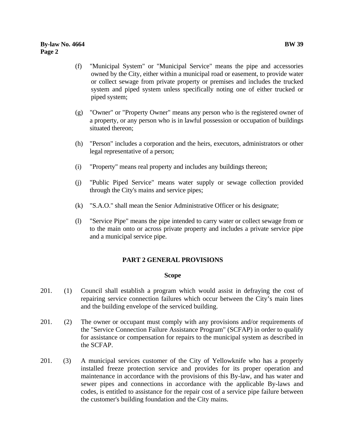#### **By-law No. 4664 BW 39 Page 2**

- (f) "Municipal System" or "Municipal Service" means the pipe and accessories owned by the City, either within a municipal road or easement, to provide water or collect sewage from private property or premises and includes the trucked system and piped system unless specifically noting one of either trucked or piped system;
- (g) "Owner" or "Property Owner" means any person who is the registered owner of a property, or any person who is in lawful possession or occupation of buildings situated thereon;
- (h) "Person" includes a corporation and the heirs, executors, administrators or other legal representative of a person;
- (i) "Property" means real property and includes any buildings thereon;
- (j) "Public Piped Service" means water supply or sewage collection provided through the City's mains and service pipes;
- (k) "S.A.O." shall mean the Senior Administrative Officer or his designate;
- (l) "Service Pipe" means the pipe intended to carry water or collect sewage from or to the main onto or across private property and includes a private service pipe and a municipal service pipe.

# **PART 2 GENERAL PROVISIONS**

# **Scope**

- 201. (1) Council shall establish a program which would assist in defraying the cost of repairing service connection failures which occur between the City's main lines and the building envelope of the serviced building.
- 201. (2) The owner or occupant must comply with any provisions and/or requirements of the "Service Connection Failure Assistance Program" (SCFAP) in order to qualify for assistance or compensation for repairs to the municipal system as described in the SCFAP.
- 201. (3) A municipal services customer of the City of Yellowknife who has a properly installed freeze protection service and provides for its proper operation and maintenance in accordance with the provisions of this By-law, and has water and sewer pipes and connections in accordance with the applicable By-laws and codes, is entitled to assistance for the repair cost of a service pipe failure between the customer's building foundation and the City mains.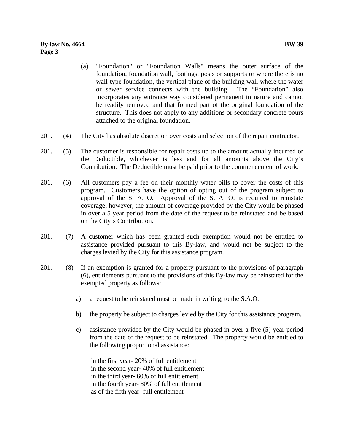## **By-law No. 4664 BW 39 Page 3**

- (a) "Foundation" or "Foundation Walls" means the outer surface of the foundation, foundation wall, footings, posts or supports or where there is no wall-type foundation, the vertical plane of the building wall where the water or sewer service connects with the building. The "Foundation" also incorporates any entrance way considered permanent in nature and cannot be readily removed and that formed part of the original foundation of the structure. This does not apply to any additions or secondary concrete pours attached to the original foundation.
- 201. (4) The City has absolute discretion over costs and selection of the repair contractor.
- 201. (5) The customer is responsible for repair costs up to the amount actually incurred or the Deductible, whichever is less and for all amounts above the City's Contribution. The Deductible must be paid prior to the commencement of work.
- 201. (6) All customers pay a fee on their monthly water bills to cover the costs of this program. Customers have the option of opting out of the program subject to approval of the S. A. O. Approval of the S. A. O. is required to reinstate coverage; however, the amount of coverage provided by the City would be phased in over a 5 year period from the date of the request to be reinstated and be based on the City's Contribution.
- 201. (7) A customer which has been granted such exemption would not be entitled to assistance provided pursuant to this By-law, and would not be subject to the charges levied by the City for this assistance program.
- 201. (8) If an exemption is granted for a property pursuant to the provisions of paragraph (6), entitlements pursuant to the provisions of this By-law may be reinstated for the exempted property as follows:
	- a) a request to be reinstated must be made in writing, to the S.A.O.
	- b) the property be subject to charges levied by the City for this assistance program.
	- c) assistance provided by the City would be phased in over a five (5) year period from the date of the request to be reinstated. The property would be entitled to the following proportional assistance:

in the first year- 20% of full entitlement in the second year- 40% of full entitlement in the third year- 60% of full entitlement in the fourth year- 80% of full entitlement as of the fifth year- full entitlement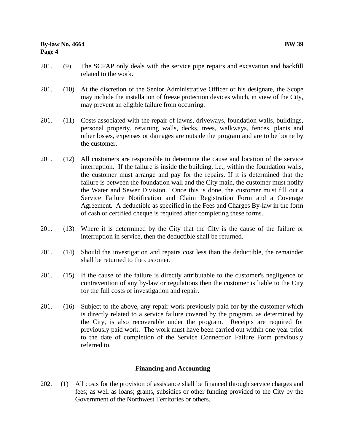- 201. (9) The SCFAP only deals with the service pipe repairs and excavation and backfill related to the work.
- 201. (10) At the discretion of the Senior Administrative Officer or his designate, the Scope may include the installation of freeze protection devices which, in view of the City, may prevent an eligible failure from occurring.
- 201. (11) Costs associated with the repair of lawns, driveways, foundation walls, buildings, personal property, retaining walls, decks, trees, walkways, fences, plants and other losses, expenses or damages are outside the program and are to be borne by the customer.
- 201. (12) All customers are responsible to determine the cause and location of the service interruption. If the failure is inside the building, i.e., within the foundation walls, the customer must arrange and pay for the repairs. If it is determined that the failure is between the foundation wall and the City main, the customer must notify the Water and Sewer Division. Once this is done, the customer must fill out a Service Failure Notification and Claim Registration Form and a Coverage Agreement. A deductible as specified in the Fees and Charges By-law in the form of cash or certified cheque is required after completing these forms.
- 201. (13) Where it is determined by the City that the City is the cause of the failure or interruption in service, then the deductible shall be returned.
- 201. (14) Should the investigation and repairs cost less than the deductible, the remainder shall be returned to the customer.
- 201. (15) If the cause of the failure is directly attributable to the customer's negligence or contravention of any by-law or regulations then the customer is liable to the City for the full costs of investigation and repair.
- 201. (16) Subject to the above, any repair work previously paid for by the customer which is directly related to a service failure covered by the program, as determined by the City, is also recoverable under the program. Receipts are required for previously paid work. The work must have been carried out within one year prior to the date of completion of the Service Connection Failure Form previously referred to.

# **Financing and Accounting**

202. (1) All costs for the provision of assistance shall be financed through service charges and fees; as well as loans; grants, subsidies or other funding provided to the City by the Government of the Northwest Territories or others.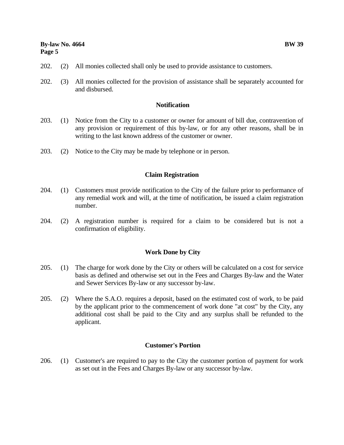- 202. (2) All monies collected shall only be used to provide assistance to customers.
- 202. (3) All monies collected for the provision of assistance shall be separately accounted for and disbursed.

#### **Notification**

- 203. (1) Notice from the City to a customer or owner for amount of bill due, contravention of any provision or requirement of this by-law, or for any other reasons, shall be in writing to the last known address of the customer or owner.
- 203. (2) Notice to the City may be made by telephone or in person.

#### **Claim Registration**

- 204. (1) Customers must provide notification to the City of the failure prior to performance of any remedial work and will, at the time of notification, be issued a claim registration number.
- 204. (2) A registration number is required for a claim to be considered but is not a confirmation of eligibility.

#### **Work Done by City**

- 205. (1) The charge for work done by the City or others will be calculated on a cost for service basis as defined and otherwise set out in the Fees and Charges By-law and the Water and Sewer Services By-law or any successor by-law.
- 205. (2) Where the S.A.O. requires a deposit, based on the estimated cost of work, to be paid by the applicant prior to the commencement of work done "at cost" by the City, any additional cost shall be paid to the City and any surplus shall be refunded to the applicant.

#### **Customer's Portion**

206. (1) Customer's are required to pay to the City the customer portion of payment for work as set out in the Fees and Charges By-law or any successor by-law.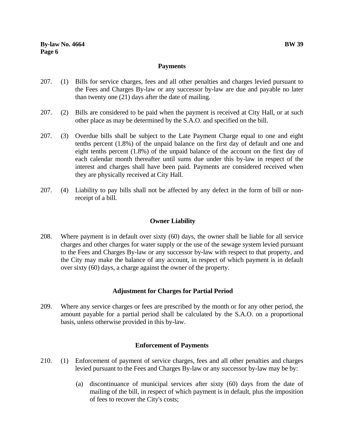# **Payments**

- 207. (1) Bills for service charges, fees and all other penalties and charges levied pursuant to the Fees and Charges By-law or any successor by-law are due and payable no later than twenty one (21) days after the date of mailing.
- 207. (2) Bills are considered to be paid when the payment is received at City Hall, or at such other place as may be determined by the S.A.O. and specified on the bill.
- 207. (3) Overdue bills shall be subject to the Late Payment Charge equal to one and eight tenths percent (1.8%) of the unpaid balance on the first day of default and one and eight tenths percent (1.8%) of the unpaid balance of the account on the first day of each calendar month thereafter until sums due under this by-law in respect of the interest and charges shall have been paid. Payments are considered received when they are physically received at City Hall.
- 207. (4) Liability to pay bills shall not be affected by any defect in the form of bill or nonreceipt of a bill.

# **Owner Liability**

208. Where payment is in default over sixty (60) days, the owner shall be liable for all service charges and other charges for water supply or the use of the sewage system levied pursuant to the Fees and Charges By-law or any successor by-law with respect to that property, and the City may make the balance of any account, in respect of which payment is in default over sixty (60) days, a charge against the owner of the property.

# **Adjustment for Charges for Partial Period**

209. Where any service charges or fees are prescribed by the month or for any other period, the amount payable for a partial period shall be calculated by the S.A.O. on a proportional basis, unless otherwise provided in this by-law.

# **Enforcement of Payments**

- 210. (1) Enforcement of payment of service charges, fees and all other penalties and charges levied pursuant to the Fees and Charges By-law or any successor by-law may be by:
	- (a) discontinuance of municipal services after sixty (60) days from the date of mailing of the bill, in respect of which payment is in default, plus the imposition of fees to recover the City's costs;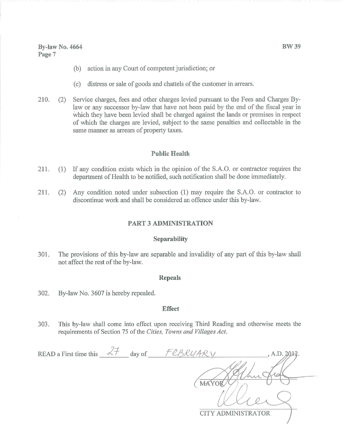### **By-law No. 4664** Page 7

- action in any Court of competent jurisdiction; or  $(b)$
- distress or sale of goods and chattels of the customer in arrears.  $(c)$
- Service charges, fees and other charges levied pursuant to the Fees and Charges By-210.  $(2)$ law or any successor by-law that have not been paid by the end of the fiscal year in which they have been levied shall be charged against the lands or premises in respect of which the charges are levied, subject to the same penalties and collectable in the same manner as arrears of property taxes.

#### **Public Health**

- 211. (1) If any condition exists which in the opinion of the S.A.O. or contractor requires the department of Health to be notified, such notification shall be done immediately.
- 211.  $(2)$ Any condition noted under subsection (1) may require the S.A.O. or contractor to discontinue work and shall be considered an offence under this by-law.

## **PART 3 ADMINISTRATION**

#### Separability

301. The provisions of this by-law are separable and invalidity of any part of this by-law shall not affect the rest of the by-law.

#### **Repeals**

302. By-law No. 3607 is hereby repealed.

#### **Effect**

303. This by-law shall come into effect upon receiving Third Reading and otherwise meets the requirements of Section 75 of the Cities, Towns and Villages Act.

| READ a First time this | <b>Construction</b> | day of | D/1AD | , A.D. 2012.              |
|------------------------|---------------------|--------|-------|---------------------------|
|                        |                     |        |       |                           |
|                        |                     |        |       | c                         |
|                        |                     |        |       |                           |
|                        |                     |        |       | <b>CITY ADMINISTRATOR</b> |
|                        |                     |        |       |                           |